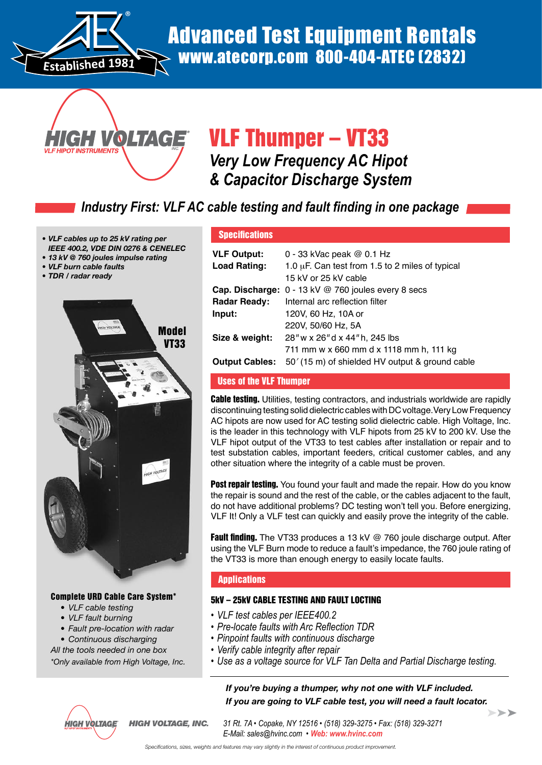

# Advanced Test Equipment Rentals www.atecorp.com 800-404-ATEC (2832)



# VLF Thumper – VT33 *Very Low Frequency AC Hipot & Capacitor Discharge System*

# *Industry First: VLF AC cable testing and fault finding in one package*

- *• VLF cables up to 25 kV rating per IEEE 400.2, VDE DIN 0276 & CENELEC*
- *• 13 kV @ 760 joules impulse rating*
- *• VLF burn cable faults*
- *• TDR / radar ready*
- 



# Complete URD Cable Care System\*

- *• VLF cable testing*
- *• VLF fault burning*
- *• Fault pre-location with radar*

 *• Continuous discharging*

*All the tools needed in one box \*Only available from High Voltage, Inc.* **Specifications** 

| <b>VLF Output:</b><br>Load Rating: | 0 - 33 kVac peak $@$ 0.1 Hz<br>1.0 $\mu$ F. Can test from 1.5 to 2 miles of typical |
|------------------------------------|-------------------------------------------------------------------------------------|
|                                    | 15 kV or 25 kV cable                                                                |
|                                    | Cap. Discharge: 0 - 13 kV @ 760 joules every 8 secs                                 |
| <b>Radar Ready:</b>                | Internal arc reflection filter                                                      |
| Input:                             | 120V, 60 Hz, 10A or                                                                 |
|                                    | 220V, 50/60 Hz, 5A                                                                  |
| Size & weight:                     | 28" w x 26" d x 44" h, 245 lbs                                                      |
|                                    | 711 mm w x 660 mm d x 1118 mm h, 111 kg                                             |
| <b>Output Cables:</b>              | 50' (15 m) of shielded HV output & ground cable                                     |

# Uses of the VLF Thumper

**Cable testing.** Utilities, testing contractors, and industrials worldwide are rapidly discontinuing testing solid dielectric cables with DC voltage.Very Low Frequency AC hipots are now used for AC testing solid dielectric cable. High Voltage, Inc. is the leader in this technology with VLF hipots from 25 kV to 200 kV. Use the VLF hipot output of the VT33 to test cables after installation or repair and to test substation cables, important feeders, critical customer cables, and any other situation where the integrity of a cable must be proven.

**Post repair testing.** You found your fault and made the repair. How do you know the repair is sound and the rest of the cable, or the cables adjacent to the fault, do not have additional problems? DC testing won't tell you. Before energizing, VLF It! Only a VLF test can quickly and easily prove the integrity of the cable.

**Fault finding.** The VT33 produces a 13 kV @ 760 joule discharge output. After using the VLF Burn mode to reduce a fault's impedance, the 760 joule rating of the VT33 is more than enough energy to easily locate faults.

# **Applications**

# 5kV – 25kV CABLE TESTING AND FAULT LOCTING

- *• VLF test cables per IEEE400.2*
- *• Pre-locate faults with Arc Reflection TDR*
- *• Pinpoint faults with continuous discharge*
- *• Verify cable integrity after repair*
- *• Use as a voltage source for VLF Tan Delta and Partial Discharge testing.*

### *If you're buying a thumper, why not one with VLF included. If you are going to VLF cable test, you will need a fault locator.*  $\blacktriangleright\blacktriangleright\blacktriangleright$



*HIGH VOLTAGE, INC. 31 Rt. 7A • Copake, NY 12516 • (518) 329-3275 • Fax: (518) 329-3271 E-Mail: sales@hvinc.com • Web: www.hvinc.com*